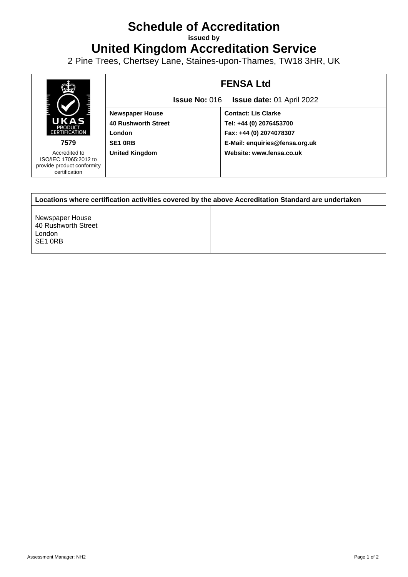## **Schedule of Accreditation**

**issued by**

**United Kingdom Accreditation Service**

2 Pine Trees, Chertsey Lane, Staines-upon-Thames, TW18 3HR, UK



| Locations where certification activities covered by the above Accreditation Standard are undertaken |  |
|-----------------------------------------------------------------------------------------------------|--|
| Newspaper House<br>40 Rushworth Street<br>London<br>SE <sub>1</sub> ORB                             |  |